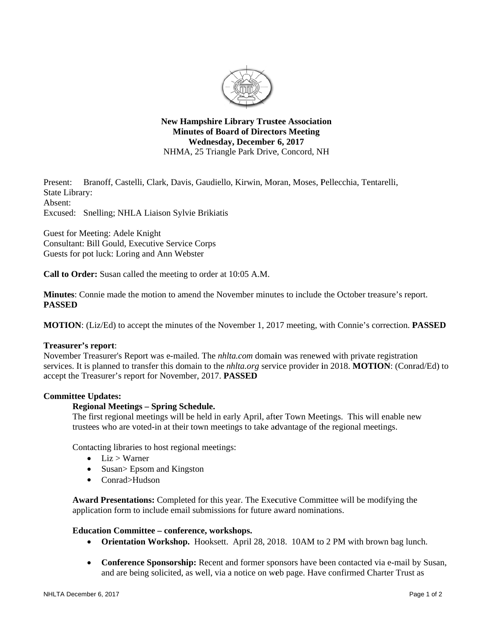

**New Hampshire Library Trustee Association Minutes of Board of Directors Meeting** Wednesday, December 6, 2017 NHMA, 25 Triangle Park Drive, Concord, NH

Branoff, Castelli, Clark, Davis, Gaudiello, Kirwin, Moran, Moses, Pellecchia, Tentarelli, Present: State Library: Absent: Excused: Snelling; NHLA Liaison Sylvie Brikiatis

Guest for Meeting: Adele Knight Consultant: Bill Gould, Executive Service Corps Guests for pot luck: Loring and Ann Webster

**Call to Order:** Susan called the meeting to order at 10:05 A.M.

**Minutes:** Connie made the motion to amend the November minutes to include the October treasure's report. **PASSED** 

**MOTION:** (Liz/Ed) to accept the minutes of the November 1, 2017 meeting, with Connie's correction. **PASSED** 

# **Treasurer's report:**

November Treasurer's Report was e-mailed. The *nhlta.com* domain was renewed with private registration services. It is planned to transfer this domain to the *nhlta.org* service provider in 2018. MOTION: (Conrad/Ed) to accept the Treasurer's report for November, 2017. PASSED

# **Committee Updates:**

### **Regional Meetings - Spring Schedule.**

The first regional meetings will be held in early April, after Town Meetings. This will enable new trustees who are voted-in at their town meetings to take advantage of the regional meetings.

Contacting libraries to host regional meetings:

- $\bullet$  Liz > Warner
- Susan> Epsom and Kingston
- Conrad>Hudson

Award Presentations: Completed for this year. The Executive Committee will be modifying the application form to include email submissions for future award nominations.

### **Education Committee – conference, workshops.**

- Orientation Workshop. Hooksett. April 28, 2018. 10AM to 2 PM with brown bag lunch.
- Conference Sponsorship: Recent and former sponsors have been contacted via e-mail by Susan, and are being solicited, as well, via a notice on web page. Have confirmed Charter Trust as